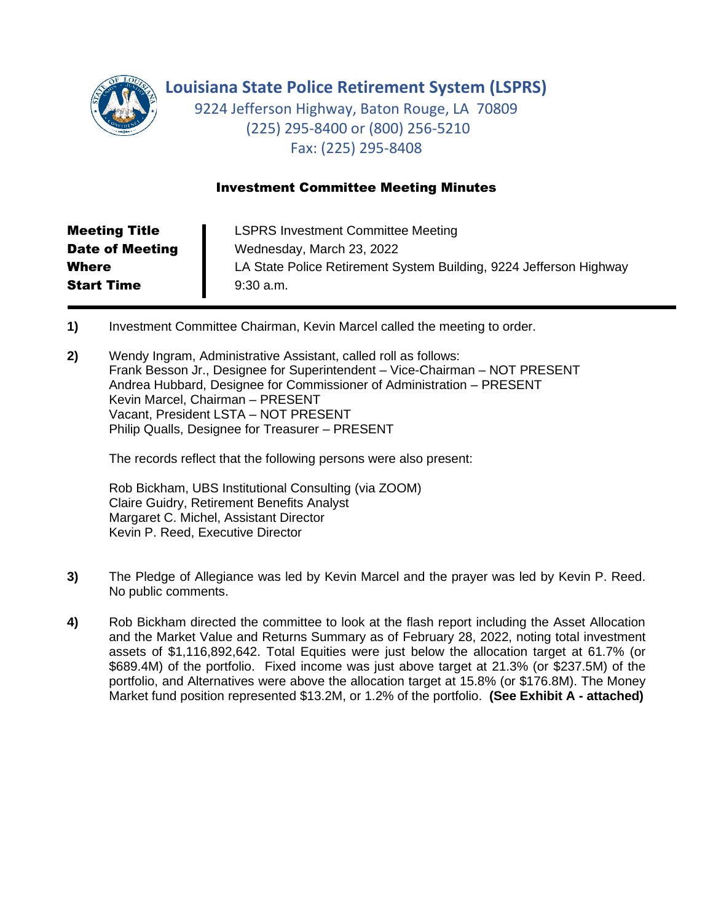

**Louisiana State Police Retirement System (LSPRS)**

9224 Jefferson Highway, Baton Rouge, LA 70809 (225) 295-8400 or (800) 256-5210 Fax: (225) 295-8408

## Investment Committee Meeting Minutes

| <b>Meeting Title</b>   | <b>LSPRS Investment Committee Meeting</b>                          |
|------------------------|--------------------------------------------------------------------|
| <b>Date of Meeting</b> | Wednesday, March 23, 2022                                          |
| <b>Where</b>           | LA State Police Retirement System Building, 9224 Jefferson Highway |
| <b>Start Time</b>      | $9:30$ a.m.                                                        |

- **1)** Investment Committee Chairman, Kevin Marcel called the meeting to order.
- **2)** Wendy Ingram, Administrative Assistant, called roll as follows: Frank Besson Jr., Designee for Superintendent – Vice-Chairman – NOT PRESENT Andrea Hubbard, Designee for Commissioner of Administration – PRESENT Kevin Marcel, Chairman – PRESENT Vacant, President LSTA – NOT PRESENT Philip Qualls, Designee for Treasurer – PRESENT

The records reflect that the following persons were also present:

Rob Bickham, UBS Institutional Consulting (via ZOOM) Claire Guidry, Retirement Benefits Analyst Margaret C. Michel, Assistant Director Kevin P. Reed, Executive Director

- **3)** The Pledge of Allegiance was led by Kevin Marcel and the prayer was led by Kevin P. Reed. No public comments.
- **4)** Rob Bickham directed the committee to look at the flash report including the Asset Allocation and the Market Value and Returns Summary as of February 28, 2022, noting total investment assets of \$1,116,892,642. Total Equities were just below the allocation target at 61.7% (or \$689.4M) of the portfolio. Fixed income was just above target at 21.3% (or \$237.5M) of the portfolio, and Alternatives were above the allocation target at 15.8% (or \$176.8M). The Money Market fund position represented \$13.2M, or 1.2% of the portfolio. **(See Exhibit A - attached)**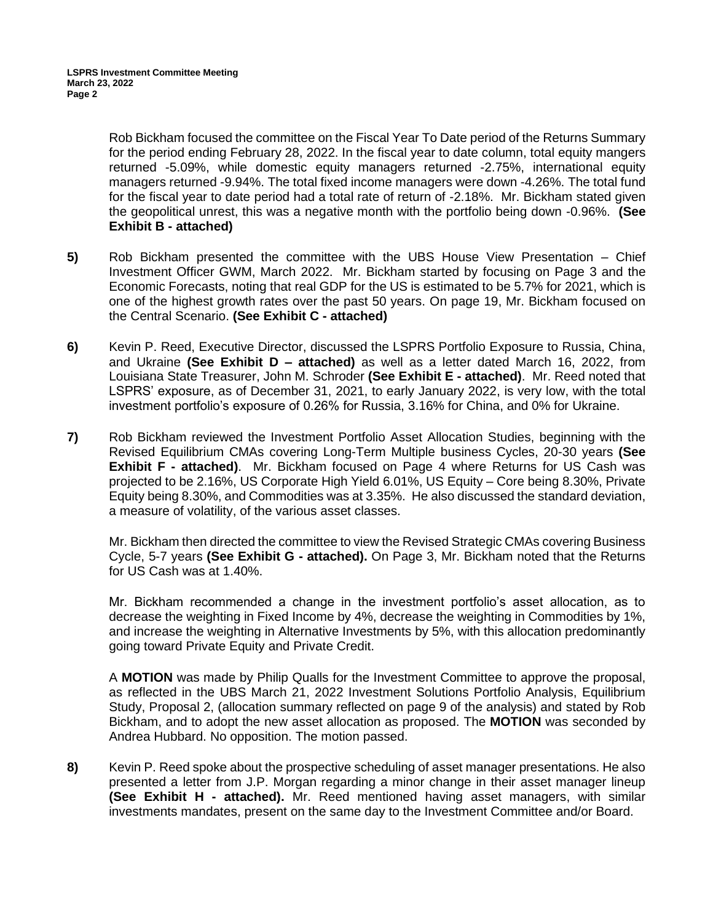Rob Bickham focused the committee on the Fiscal Year To Date period of the Returns Summary for the period ending February 28, 2022. In the fiscal year to date column, total equity mangers returned -5.09%, while domestic equity managers returned -2.75%, international equity managers returned -9.94%. The total fixed income managers were down -4.26%. The total fund for the fiscal year to date period had a total rate of return of -2.18%. Mr. Bickham stated given the geopolitical unrest, this was a negative month with the portfolio being down -0.96%. **(See Exhibit B - attached)**

- **5)** Rob Bickham presented the committee with the UBS House View Presentation Chief Investment Officer GWM, March 2022. Mr. Bickham started by focusing on Page 3 and the Economic Forecasts, noting that real GDP for the US is estimated to be 5.7% for 2021, which is one of the highest growth rates over the past 50 years. On page 19, Mr. Bickham focused on the Central Scenario. **(See Exhibit C - attached)**
- **6)** Kevin P. Reed, Executive Director, discussed the LSPRS Portfolio Exposure to Russia, China, and Ukraine **(See Exhibit D – attached)** as well as a letter dated March 16, 2022, from Louisiana State Treasurer, John M. Schroder **(See Exhibit E - attached)**. Mr. Reed noted that LSPRS' exposure, as of December 31, 2021, to early January 2022, is very low, with the total investment portfolio's exposure of 0.26% for Russia, 3.16% for China, and 0% for Ukraine.
- **7)** Rob Bickham reviewed the Investment Portfolio Asset Allocation Studies, beginning with the Revised Equilibrium CMAs covering Long-Term Multiple business Cycles, 20-30 years **(See Exhibit F - attached)**. Mr. Bickham focused on Page 4 where Returns for US Cash was projected to be 2.16%, US Corporate High Yield 6.01%, US Equity – Core being 8.30%, Private Equity being 8.30%, and Commodities was at 3.35%. He also discussed the standard deviation, a measure of volatility, of the various asset classes.

Mr. Bickham then directed the committee to view the Revised Strategic CMAs covering Business Cycle, 5-7 years **(See Exhibit G - attached).** On Page 3, Mr. Bickham noted that the Returns for US Cash was at 1.40%.

Mr. Bickham recommended a change in the investment portfolio's asset allocation, as to decrease the weighting in Fixed Income by 4%, decrease the weighting in Commodities by 1%, and increase the weighting in Alternative Investments by 5%, with this allocation predominantly going toward Private Equity and Private Credit.

A **MOTION** was made by Philip Qualls for the Investment Committee to approve the proposal, as reflected in the UBS March 21, 2022 Investment Solutions Portfolio Analysis, Equilibrium Study, Proposal 2, (allocation summary reflected on page 9 of the analysis) and stated by Rob Bickham, and to adopt the new asset allocation as proposed. The **MOTION** was seconded by Andrea Hubbard. No opposition. The motion passed.

**8)** Kevin P. Reed spoke about the prospective scheduling of asset manager presentations. He also presented a letter from J.P. Morgan regarding a minor change in their asset manager lineup **(See Exhibit H - attached).** Mr. Reed mentioned having asset managers, with similar investments mandates, present on the same day to the Investment Committee and/or Board.